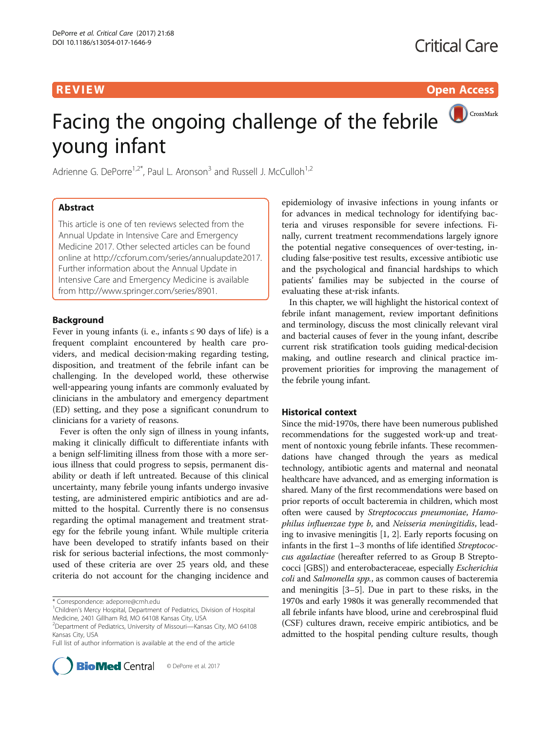**REVIEW CONSIDERING CONSIDERING CONSIDERING CONSIDERING CONSIDERING CONSIDERING CONSIDERING CONSIDERING CONSIDERING CONSIDERING CONSIDERING CONSIDERING CONSIDERING CONSIDERING CONSIDERING CONSIDERING CONSIDERING CONSIDER** 

# CrossMark Facing the ongoing challenge of the febrile young infant

Adrienne G. DePorre<sup>1,2\*</sup>, Paul L. Aronson<sup>3</sup> and Russell J. McCulloh<sup>1,2</sup>

# Abstract

This article is one of ten reviews selected from the Annual Update in Intensive Care and Emergency Medicine 2017. Other selected articles can be found online at [http://ccforum.com/series/annualupdate2017.](http://ccforum.com/series/annualupdate2017) Further information about the Annual Update in Intensive Care and Emergency Medicine is available from<http://www.springer.com/series/8901>.

# Background

Fever in young infants (i. e., infants  $\leq 90$  days of life) is a frequent complaint encountered by health care providers, and medical decision‐making regarding testing, disposition, and treatment of the febrile infant can be challenging. In the developed world, these otherwise well-appearing young infants are commonly evaluated by clinicians in the ambulatory and emergency department (ED) setting, and they pose a significant conundrum to clinicians for a variety of reasons.

Fever is often the only sign of illness in young infants, making it clinically difficult to differentiate infants with a benign self-limiting illness from those with a more serious illness that could progress to sepsis, permanent disability or death if left untreated. Because of this clinical uncertainty, many febrile young infants undergo invasive testing, are administered empiric antibiotics and are admitted to the hospital. Currently there is no consensus regarding the optimal management and treatment strategy for the febrile young infant. While multiple criteria have been developed to stratify infants based on their risk for serious bacterial infections, the most commonly‐ used of these criteria are over 25 years old, and these criteria do not account for the changing incidence and

Full list of author information is available at the end of the article



epidemiology of invasive infections in young infants or for advances in medical technology for identifying bacteria and viruses responsible for severe infections. Finally, current treatment recommendations largely ignore the potential negative consequences of over-testing, including false‐positive test results, excessive antibiotic use and the psychological and financial hardships to which patients' families may be subjected in the course of evaluating these at-risk infants.

In this chapter, we will highlight the historical context of febrile infant management, review important definitions and terminology, discuss the most clinically relevant viral and bacterial causes of fever in the young infant, describe current risk stratification tools guiding medical‐decision making, and outline research and clinical practice improvement priorities for improving the management of the febrile young infant.

# Historical context

Since the mid‐1970s, there have been numerous published recommendations for the suggested work‐up and treatment of nontoxic young febrile infants. These recommendations have changed through the years as medical technology, antibiotic agents and maternal and neonatal healthcare have advanced, and as emerging information is shared. Many of the first recommendations were based on prior reports of occult bacteremia in children, which most often were caused by Streptococcus pneumoniae, Hamophilus influenzae type b, and Neisseria meningitidis, leading to invasive meningitis [[1, 2\]](#page-6-0). Early reports focusing on infants in the first 1–3 months of life identified Streptococcus agalactiae (hereafter referred to as Group B Streptococci [GBS]) and enterobacteraceae, especially Escherichia coli and Salmonella spp., as common causes of bacteremia and meningitis [\[3](#page-6-0)–[5\]](#page-6-0). Due in part to these risks, in the 1970s and early 1980s it was generally recommended that all febrile infants have blood, urine and cerebrospinal fluid (CSF) cultures drawn, receive empiric antibiotics, and be admitted to the hospital pending culture results, though

<sup>\*</sup> Correspondence: [adeporre@cmh.edu](mailto:adeporre@cmh.edu) <sup>1</sup>

<sup>&</sup>lt;sup>1</sup>Children's Mercy Hospital, Department of Pediatrics, Division of Hospital Medicine, 2401 Gillham Rd, MO 64108 Kansas City, USA

<sup>2</sup> Department of Pediatrics, University of Missouri—Kansas City, MO 64108 Kansas City, USA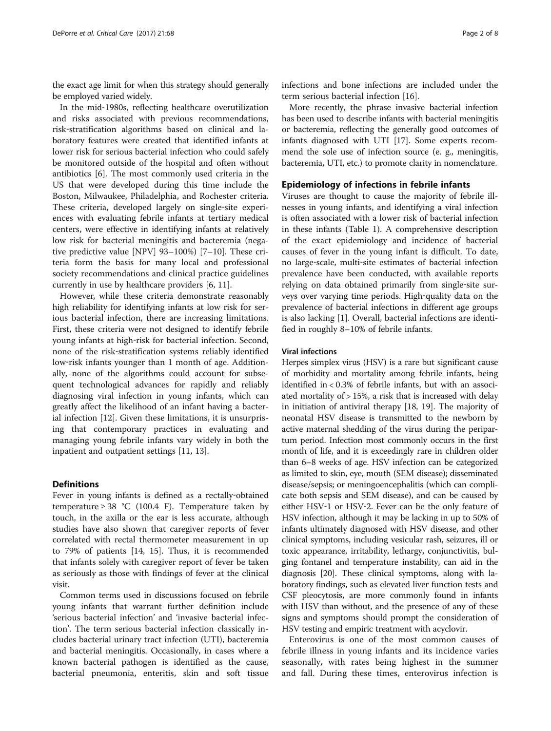the exact age limit for when this strategy should generally be employed varied widely.

In the mid‐1980s, reflecting healthcare overutilization and risks associated with previous recommendations, risk‐stratification algorithms based on clinical and laboratory features were created that identified infants at lower risk for serious bacterial infection who could safely be monitored outside of the hospital and often without antibiotics [[6\]](#page-6-0). The most commonly used criteria in the US that were developed during this time include the Boston, Milwaukee, Philadelphia, and Rochester criteria. These criteria, developed largely on single-site experiences with evaluating febrile infants at tertiary medical centers, were effective in identifying infants at relatively low risk for bacterial meningitis and bacteremia (negative predictive value [NPV] 93–100%) [\[7](#page-6-0)–[10\]](#page-6-0). These criteria form the basis for many local and professional society recommendations and clinical practice guidelines currently in use by healthcare providers [[6, 11](#page-6-0)].

However, while these criteria demonstrate reasonably high reliability for identifying infants at low risk for serious bacterial infection, there are increasing limitations. First, these criteria were not designed to identify febrile young infants at high‐risk for bacterial infection. Second, none of the risk‐stratification systems reliably identified low-risk infants younger than 1 month of age. Additionally, none of the algorithms could account for subsequent technological advances for rapidly and reliably diagnosing viral infection in young infants, which can greatly affect the likelihood of an infant having a bacterial infection [[12](#page-6-0)]. Given these limitations, it is unsurprising that contemporary practices in evaluating and managing young febrile infants vary widely in both the inpatient and outpatient settings [[11, 13\]](#page-6-0).

# **Definitions**

Fever in young infants is defined as a rectally‐obtained temperature  $\geq 38$  °C (100.4 F). Temperature taken by touch, in the axilla or the ear is less accurate, although studies have also shown that caregiver reports of fever correlated with rectal thermometer measurement in up to 79% of patients [[14, 15](#page-6-0)]. Thus, it is recommended that infants solely with caregiver report of fever be taken as seriously as those with findings of fever at the clinical visit.

Common terms used in discussions focused on febrile young infants that warrant further definition include 'serious bacterial infection' and 'invasive bacterial infection'. The term serious bacterial infection classically includes bacterial urinary tract infection (UTI), bacteremia and bacterial meningitis. Occasionally, in cases where a known bacterial pathogen is identified as the cause, bacterial pneumonia, enteritis, skin and soft tissue

More recently, the phrase invasive bacterial infection has been used to describe infants with bacterial meningitis or bacteremia, reflecting the generally good outcomes of infants diagnosed with UTI [[17\]](#page-6-0). Some experts recommend the sole use of infection source (e. g., meningitis, bacteremia, UTI, etc.) to promote clarity in nomenclature.

# Epidemiology of infections in febrile infants

Viruses are thought to cause the majority of febrile illnesses in young infants, and identifying a viral infection is often associated with a lower risk of bacterial infection in these infants (Table [1\)](#page-2-0). A comprehensive description of the exact epidemiology and incidence of bacterial causes of fever in the young infant is difficult. To date, no large‐scale, multi‐site estimates of bacterial infection prevalence have been conducted, with available reports relying on data obtained primarily from single‐site surveys over varying time periods. High‐quality data on the prevalence of bacterial infections in different age groups is also lacking [[1\]](#page-6-0). Overall, bacterial infections are identified in roughly 8–10% of febrile infants.

#### Viral infections

Herpes simplex virus (HSV) is a rare but significant cause of morbidity and mortality among febrile infants, being identified in < 0.3% of febrile infants, but with an associated mortality of > 15%, a risk that is increased with delay in initiation of antiviral therapy [\[18, 19](#page-6-0)]. The majority of neonatal HSV disease is transmitted to the newborn by active maternal shedding of the virus during the peripartum period. Infection most commonly occurs in the first month of life, and it is exceedingly rare in children older than 6–8 weeks of age. HSV infection can be categorized as limited to skin, eye, mouth (SEM disease); disseminated disease/sepsis; or meningoencephalitis (which can complicate both sepsis and SEM disease), and can be caused by either HSV‐1 or HSV‐2. Fever can be the only feature of HSV infection, although it may be lacking in up to 50% of infants ultimately diagnosed with HSV disease, and other clinical symptoms, including vesicular rash, seizures, ill or toxic appearance, irritability, lethargy, conjunctivitis, bulging fontanel and temperature instability, can aid in the diagnosis [\[20](#page-6-0)]. These clinical symptoms, along with laboratory findings, such as elevated liver function tests and CSF pleocytosis, are more commonly found in infants with HSV than without, and the presence of any of these signs and symptoms should prompt the consideration of HSV testing and empiric treatment with acyclovir.

Enterovirus is one of the most common causes of febrile illness in young infants and its incidence varies seasonally, with rates being highest in the summer and fall. During these times, enterovirus infection is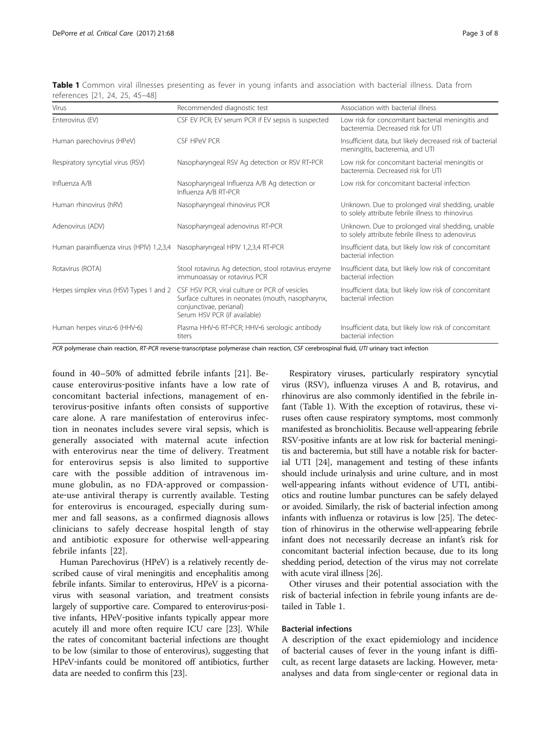<span id="page-2-0"></span>

| Table 1 Common viral illnesses presenting as fever in young infants and association with bacterial illness. Data from |  |  |  |  |  |  |
|-----------------------------------------------------------------------------------------------------------------------|--|--|--|--|--|--|
| references [21, 24, 25, 45–48]                                                                                        |  |  |  |  |  |  |

| Virus                                                                       | Recommended diagnostic test                                                                                                                                   | Association with bacterial illness                                                                    |
|-----------------------------------------------------------------------------|---------------------------------------------------------------------------------------------------------------------------------------------------------------|-------------------------------------------------------------------------------------------------------|
| Enterovirus (EV)                                                            | CSF EV PCR; EV serum PCR if EV sepsis is suspected                                                                                                            | Low risk for concomitant bacterial meningitis and<br>bacteremia. Decreased risk for UTI               |
| Human parechovirus (HPeV)                                                   | CSF HPeV PCR                                                                                                                                                  | Insufficient data, but likely decreased risk of bacterial<br>meningitis, bacteremia, and UTI          |
| Respiratory syncytial virus (RSV)                                           | Nasopharyngeal RSV Ag detection or RSV RT-PCR                                                                                                                 | Low risk for concomitant bacterial meningitis or<br>bacteremia. Decreased risk for UTI                |
| Influenza A/B                                                               | Nasopharyngeal Influenza A/B Ag detection or<br>Influenza A/B RT-PCR                                                                                          | Low risk for concomitant bacterial infection                                                          |
| Human rhinovirus (hRV)                                                      | Nasopharyngeal rhinovirus PCR                                                                                                                                 | Unknown. Due to prolonged viral shedding, unable<br>to solely attribute febrile illness to rhinovirus |
| Adenovirus (ADV)                                                            | Nasopharyngeal adenovirus RT-PCR                                                                                                                              | Unknown. Due to prolonged viral shedding, unable<br>to solely attribute febrile illness to adenovirus |
| Human parainfluenza virus (HPIV) 1,2,3,4 Nasopharyngeal HPIV 1,2,3,4 RT-PCR |                                                                                                                                                               | Insufficient data, but likely low risk of concomitant<br>bacterial infection                          |
| Rotavirus (ROTA)                                                            | Stool rotavirus Ag detection, stool rotavirus enzyme<br>immunoassay or rotavirus PCR                                                                          | Insufficient data, but likely low risk of concomitant<br>bacterial infection                          |
| Herpes simplex virus (HSV) Types 1 and 2                                    | CSF HSV PCR, viral culture or PCR of vesicles<br>Surface cultures in neonates (mouth, nasopharynx,<br>conjunctivae, perianal)<br>Serum HSV PCR (if available) | Insufficient data, but likely low risk of concomitant<br>bacterial infection                          |
| Human herpes virus-6 (HHV-6)                                                | Plasma HHV-6 RT-PCR; HHV-6 serologic antibody<br>titers                                                                                                       | Insufficient data, but likely low risk of concomitant<br>bacterial infection                          |

PCR polymerase chain reaction, RT-PCR reverse-transcriptase polymerase chain reaction, CSF cerebrospinal fluid, UTI urinary tract infection

found in 40–50% of admitted febrile infants [[21\]](#page-6-0). Because enterovirus‐positive infants have a low rate of concomitant bacterial infections, management of enterovirus‐positive infants often consists of supportive care alone. A rare manifestation of enterovirus infection in neonates includes severe viral sepsis, which is generally associated with maternal acute infection with enterovirus near the time of delivery. Treatment for enterovirus sepsis is also limited to supportive care with the possible addition of intravenous immune globulin, as no FDA‐approved or compassionate-use antiviral therapy is currently available. Testing for enterovirus is encouraged, especially during summer and fall seasons, as a confirmed diagnosis allows clinicians to safely decrease hospital length of stay and antibiotic exposure for otherwise well‐appearing febrile infants [\[22](#page-6-0)].

Human Parechovirus (HPeV) is a relatively recently described cause of viral meningitis and encephalitis among febrile infants. Similar to enterovirus, HPeV is a picornavirus with seasonal variation, and treatment consists largely of supportive care. Compared to enterovirus‐positive infants, HPeV‐positive infants typically appear more acutely ill and more often require ICU care [\[23\]](#page-6-0). While the rates of concomitant bacterial infections are thought to be low (similar to those of enterovirus), suggesting that HPeV‐infants could be monitored off antibiotics, further data are needed to confirm this [\[23\]](#page-6-0).

Respiratory viruses, particularly respiratory syncytial virus (RSV), influenza viruses A and B, rotavirus, and rhinovirus are also commonly identified in the febrile infant (Table 1). With the exception of rotavirus, these viruses often cause respiratory symptoms, most commonly manifested as bronchiolitis. Because well‐appearing febrile RSV‐positive infants are at low risk for bacterial meningitis and bacteremia, but still have a notable risk for bacterial UTI [\[24\]](#page-6-0), management and testing of these infants should include urinalysis and urine culture, and in most well-appearing infants without evidence of UTI, antibiotics and routine lumbar punctures can be safely delayed or avoided. Similarly, the risk of bacterial infection among infants with influenza or rotavirus is low [[25](#page-6-0)]. The detection of rhinovirus in the otherwise well‐appearing febrile infant does not necessarily decrease an infant's risk for concomitant bacterial infection because, due to its long shedding period, detection of the virus may not correlate with acute viral illness [[26\]](#page-6-0).

Other viruses and their potential association with the risk of bacterial infection in febrile young infants are detailed in Table 1.

# Bacterial infections

A description of the exact epidemiology and incidence of bacterial causes of fever in the young infant is difficult, as recent large datasets are lacking. However, meta‐ analyses and data from single‐center or regional data in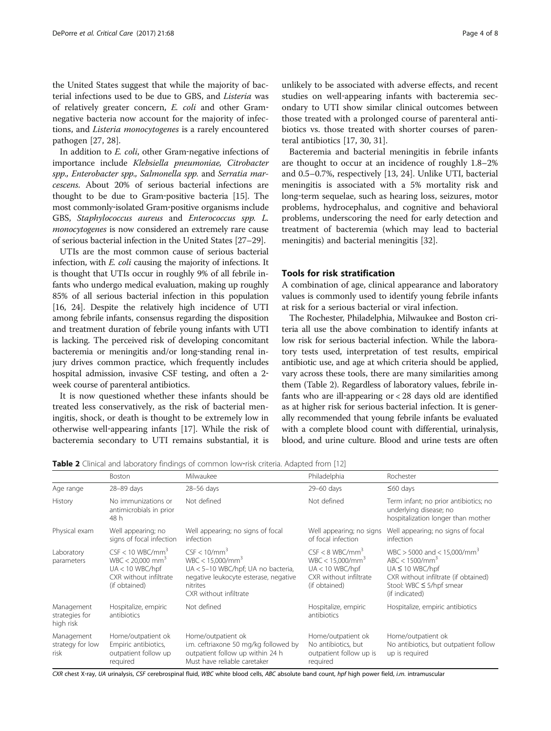the United States suggest that while the majority of bacterial infections used to be due to GBS, and Listeria was of relatively greater concern, E. coli and other Gram‐ negative bacteria now account for the majority of infections, and Listeria monocytogenes is a rarely encountered pathogen [[27](#page-6-0), [28](#page-6-0)].

In addition to *E. coli*, other Gram-negative infections of importance include Klebsiella pneumoniae, Citrobacter spp., Enterobacter spp., Salmonella spp. and Serratia marcescens. About 20% of serious bacterial infections are thought to be due to Gram‐positive bacteria [[15](#page-6-0)]. The most commonly‐isolated Gram‐positive organisms include GBS, Staphylococcus aureus and Enterococcus spp. L. monocytogenes is now considered an extremely rare cause of serious bacterial infection in the United States [\[27](#page-6-0)–[29](#page-6-0)].

UTIs are the most common cause of serious bacterial infection, with *E. coli* causing the majority of infections. It is thought that UTIs occur in roughly 9% of all febrile infants who undergo medical evaluation, making up roughly 85% of all serious bacterial infection in this population [[16](#page-6-0), [24\]](#page-6-0). Despite the relatively high incidence of UTI among febrile infants, consensus regarding the disposition and treatment duration of febrile young infants with UTI is lacking. The perceived risk of developing concomitant bacteremia or meningitis and/or long‐standing renal injury drives common practice, which frequently includes hospital admission, invasive CSF testing, and often a 2‐ week course of parenteral antibiotics.

It is now questioned whether these infants should be treated less conservatively, as the risk of bacterial meningitis, shock, or death is thought to be extremely low in otherwise well‐appearing infants [[17](#page-6-0)]. While the risk of bacteremia secondary to UTI remains substantial, it is

unlikely to be associated with adverse effects, and recent studies on well‐appearing infants with bacteremia secondary to UTI show similar clinical outcomes between those treated with a prolonged course of parenteral antibiotics vs. those treated with shorter courses of parenteral antibiotics [\[17](#page-6-0), [30, 31\]](#page-6-0).

Bacteremia and bacterial meningitis in febrile infants are thought to occur at an incidence of roughly 1.8–2% and 0.5–0.7%, respectively [\[13](#page-6-0), [24](#page-6-0)]. Unlike UTI, bacterial meningitis is associated with a 5% mortality risk and long‐term sequelae, such as hearing loss, seizures, motor problems, hydrocephalus, and cognitive and behavioral problems, underscoring the need for early detection and treatment of bacteremia (which may lead to bacterial meningitis) and bacterial meningitis [\[32\]](#page-6-0).

# Tools for risk stratification

A combination of age, clinical appearance and laboratory values is commonly used to identify young febrile infants at risk for a serious bacterial or viral infection.

The Rochester, Philadelphia, Milwaukee and Boston criteria all use the above combination to identify infants at low risk for serious bacterial infection. While the laboratory tests used, interpretation of test results, empirical antibiotic use, and age at which criteria should be applied, vary across these tools, there are many similarities among them (Table 2). Regardless of laboratory values, febrile infants who are ill-appearing  $or < 28$  days old are identified as at higher risk for serious bacterial infection. It is generally recommended that young febrile infants be evaluated with a complete blood count with differential, urinalysis, blood, and urine culture. Blood and urine tests are often

Table 2 Clinical and laboratory findings of common low-risk criteria. Adapted from [\[12\]](#page-6-0)

|                                           | Boston                                                                                                                           | Milwaukee                                                                                                                                                   | Philadelphia                                                                                                         | Rochester                                                                                                                                                                  |
|-------------------------------------------|----------------------------------------------------------------------------------------------------------------------------------|-------------------------------------------------------------------------------------------------------------------------------------------------------------|----------------------------------------------------------------------------------------------------------------------|----------------------------------------------------------------------------------------------------------------------------------------------------------------------------|
| Age range                                 | 28-89 days                                                                                                                       | 28-56 days                                                                                                                                                  | 29-60 days                                                                                                           | $\leq 60$ days                                                                                                                                                             |
| History                                   | No immunizations or<br>antimicrobials in prior<br>48 h                                                                           | Not defined                                                                                                                                                 | Not defined                                                                                                          | Term infant; no prior antibiotics; no<br>underlying disease; no<br>hospitalization longer than mother                                                                      |
| Physical exam                             | Well appearing; no<br>signs of focal infection                                                                                   | Well appearing; no signs of focal<br>infection                                                                                                              | Well appearing; no signs<br>of focal infection                                                                       | Well appearing; no signs of focal<br>infection                                                                                                                             |
| Laboratory<br>parameters                  | $CSF < 10$ WBC/mm <sup>3</sup><br>$WBC < 20.000$ mm <sup>3</sup><br>$UA < 10$ WBC/hpf<br>CXR without infiltrate<br>(if obtained) | $CSF < 10/mm^3$<br>$WBC < 15.000/mm^3$<br>UA < 5-10 WBC/hpf; UA no bacteria,<br>negative leukocyte esterase, negative<br>nitrites<br>CXR without infiltrate | $CSF < 8$ WBC/mm <sup>3</sup><br>$WBC < 15,000/mm^3$<br>$UA < 10$ WBC/hpf<br>CXR without infiltrate<br>(if obtained) | WBC > 5000 and < 15,000/mm <sup>3</sup><br>$ABC < 1500/mm^3$<br>$UA \leq 10$ WBC/hpf<br>CXR without infiltrate (if obtained)<br>Stool: WBC ≤ 5/hpf smear<br>(if indicated) |
| Management<br>strategies for<br>high risk | Hospitalize, empiric<br>antibiotics                                                                                              | Not defined                                                                                                                                                 | Hospitalize, empiric<br>antibiotics                                                                                  | Hospitalize, empiric antibiotics                                                                                                                                           |
| Management<br>strategy for low<br>risk    | Home/outpatient ok<br>Empiric antibiotics,<br>outpatient follow up<br>required                                                   | Home/outpatient ok<br>i.m. ceftriaxone 50 mg/kg followed by<br>outpatient follow up within 24 h<br>Must have reliable caretaker                             | Home/outpatient ok<br>No antibiotics, but<br>outpatient follow up is<br>required                                     | Home/outpatient ok<br>No antibiotics, but outpatient follow<br>up is required                                                                                              |

CXR chest X-ray, UA urinalysis, CSF cerebrospinal fluid, WBC white blood cells, ABC absolute band count, hpf high power field, i.m. intramuscular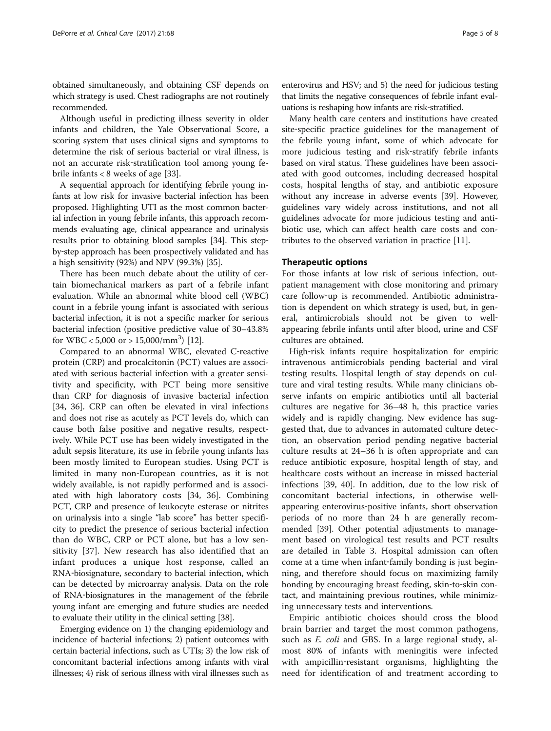obtained simultaneously, and obtaining CSF depends on which strategy is used. Chest radiographs are not routinely recommended.

Although useful in predicting illness severity in older infants and children, the Yale Observational Score, a scoring system that uses clinical signs and symptoms to determine the risk of serious bacterial or viral illness, is not an accurate risk‐stratification tool among young febrile infants < 8 weeks of age [[33](#page-6-0)].

A sequential approach for identifying febrile young infants at low risk for invasive bacterial infection has been proposed. Highlighting UTI as the most common bacterial infection in young febrile infants, this approach recommends evaluating age, clinical appearance and urinalysis results prior to obtaining blood samples [\[34](#page-6-0)]. This stepby‐step approach has been prospectively validated and has a high sensitivity (92%) and NPV (99.3%) [[35](#page-7-0)].

There has been much debate about the utility of certain biomechanical markers as part of a febrile infant evaluation. While an abnormal white blood cell (WBC) count in a febrile young infant is associated with serious bacterial infection, it is not a specific marker for serious bacterial infection (positive predictive value of 30–43.8% for WBC <  $5,000$  or >  $15,000/\text{mm}^3$ ) [\[12](#page-6-0)].

Compared to an abnormal WBC, elevated C‐reactive protein (CRP) and procalcitonin (PCT) values are associated with serious bacterial infection with a greater sensitivity and specificity, with PCT being more sensitive than CRP for diagnosis of invasive bacterial infection [[34,](#page-6-0) [36](#page-7-0)]. CRP can often be elevated in viral infections and does not rise as acutely as PCT levels do, which can cause both false positive and negative results, respectively. While PCT use has been widely investigated in the adult sepsis literature, its use in febrile young infants has been mostly limited to European studies. Using PCT is limited in many non‐European countries, as it is not widely available, is not rapidly performed and is associated with high laboratory costs [\[34](#page-6-0), [36](#page-7-0)]. Combining PCT, CRP and presence of leukocyte esterase or nitrites on urinalysis into a single "lab score" has better specificity to predict the presence of serious bacterial infection than do WBC, CRP or PCT alone, but has a low sensitivity [\[37](#page-7-0)]. New research has also identified that an infant produces a unique host response, called an RNA‐biosignature, secondary to bacterial infection, which can be detected by microarray analysis. Data on the role of RNA‐biosignatures in the management of the febrile young infant are emerging and future studies are needed to evaluate their utility in the clinical setting [[38](#page-7-0)].

Emerging evidence on 1) the changing epidemiology and incidence of bacterial infections; 2) patient outcomes with certain bacterial infections, such as UTIs; 3) the low risk of concomitant bacterial infections among infants with viral illnesses; 4) risk of serious illness with viral illnesses such as enterovirus and HSV; and 5) the need for judicious testing that limits the negative consequences of febrile infant evaluations is reshaping how infants are risk‐stratified.

Many health care centers and institutions have created site-specific practice guidelines for the management of the febrile young infant, some of which advocate for more judicious testing and risk‐stratify febrile infants based on viral status. These guidelines have been associated with good outcomes, including decreased hospital costs, hospital lengths of stay, and antibiotic exposure without any increase in adverse events [\[39](#page-7-0)]. However, guidelines vary widely across institutions, and not all guidelines advocate for more judicious testing and antibiotic use, which can affect health care costs and contributes to the observed variation in practice [\[11](#page-6-0)].

### Therapeutic options

For those infants at low risk of serious infection, outpatient management with close monitoring and primary care follow‐up is recommended. Antibiotic administration is dependent on which strategy is used, but, in general, antimicrobials should not be given to wellappearing febrile infants until after blood, urine and CSF cultures are obtained.

High-risk infants require hospitalization for empiric intravenous antimicrobials pending bacterial and viral testing results. Hospital length of stay depends on culture and viral testing results. While many clinicians observe infants on empiric antibiotics until all bacterial cultures are negative for 36–48 h, this practice varies widely and is rapidly changing. New evidence has suggested that, due to advances in automated culture detection, an observation period pending negative bacterial culture results at 24–36 h is often appropriate and can reduce antibiotic exposure, hospital length of stay, and healthcare costs without an increase in missed bacterial infections [\[39](#page-7-0), [40\]](#page-7-0). In addition, due to the low risk of concomitant bacterial infections, in otherwise well‐ appearing enterovirus‐positive infants, short observation periods of no more than 24 h are generally recommended [[39\]](#page-7-0). Other potential adjustments to management based on virological test results and PCT results are detailed in Table [3.](#page-5-0) Hospital admission can often come at a time when infant‐family bonding is just beginning, and therefore should focus on maximizing family bonding by encouraging breast feeding, skin‐to‐skin contact, and maintaining previous routines, while minimizing unnecessary tests and interventions.

Empiric antibiotic choices should cross the blood brain barrier and target the most common pathogens, such as *E. coli* and GBS. In a large regional study, almost 80% of infants with meningitis were infected with ampicillin‐resistant organisms, highlighting the need for identification of and treatment according to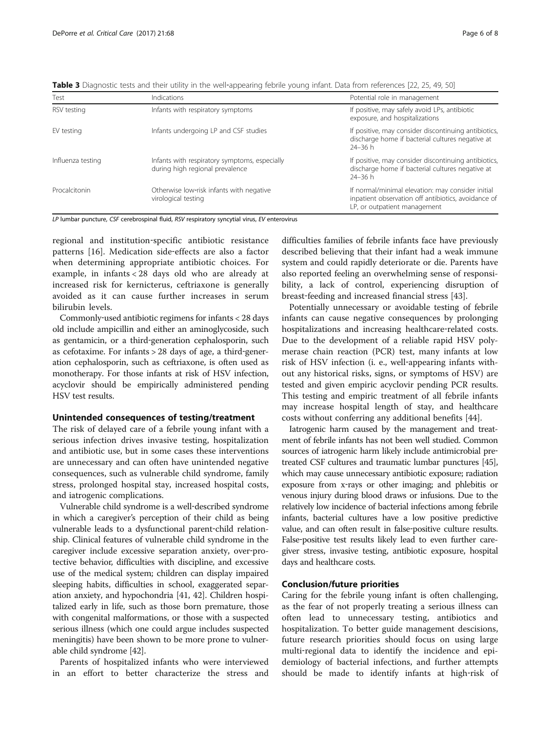| Test              | Indications                                                                      | Potential role in management                                                                                                             |
|-------------------|----------------------------------------------------------------------------------|------------------------------------------------------------------------------------------------------------------------------------------|
| RSV testing       | Infants with respiratory symptoms                                                | If positive, may safely avoid LPs, antibiotic<br>exposure, and hospitalizations                                                          |
| EV testing        | Infants undergoing LP and CSF studies                                            | If positive, may consider discontinuing antibiotics,<br>discharge home if bacterial cultures negative at<br>$24 - 36 h$                  |
| Influenza testing | Infants with respiratory symptoms, especially<br>during high regional prevalence | If positive, may consider discontinuing antibiotics,<br>discharge home if bacterial cultures negative at<br>$24 - 36 h$                  |
| Procalcitonin     | Otherwise low-risk infants with negative<br>virological testing                  | If normal/minimal elevation: may consider initial<br>inpatient observation off antibiotics, avoidance of<br>LP, or outpatient management |

<span id="page-5-0"></span>Table 3 Diagnostic tests and their utility in the well-appearing febrile young infant. Data from references [[22, 25](#page-6-0), [49](#page-7-0), [50\]](#page-7-0)

LP lumbar puncture, CSF cerebrospinal fluid, RSV respiratory syncytial virus, EV enterovirus

regional and institution‐specific antibiotic resistance patterns [\[16](#page-6-0)]. Medication side-effects are also a factor when determining appropriate antibiotic choices. For example, in infants < 28 days old who are already at increased risk for kernicterus, ceftriaxone is generally avoided as it can cause further increases in serum bilirubin levels.

Commonly‐used antibiotic regimens for infants < 28 days old include ampicillin and either an aminoglycoside, such as gentamicin, or a third‐generation cephalosporin, such as cefotaxime. For infants > 28 days of age, a third‐generation cephalosporin, such as ceftriaxone, is often used as monotherapy. For those infants at risk of HSV infection, acyclovir should be empirically administered pending HSV test results.

### Unintended consequences of testing/treatment

The risk of delayed care of a febrile young infant with a serious infection drives invasive testing, hospitalization and antibiotic use, but in some cases these interventions are unnecessary and can often have unintended negative consequences, such as vulnerable child syndrome, family stress, prolonged hospital stay, increased hospital costs, and iatrogenic complications.

Vulnerable child syndrome is a well‐described syndrome in which a caregiver's perception of their child as being vulnerable leads to a dysfunctional parent-child relationship. Clinical features of vulnerable child syndrome in the caregiver include excessive separation anxiety, over‐protective behavior, difficulties with discipline, and excessive use of the medical system; children can display impaired sleeping habits, difficulties in school, exaggerated separation anxiety, and hypochondria [[41](#page-7-0), [42](#page-7-0)]. Children hospitalized early in life, such as those born premature, those with congenital malformations, or those with a suspected serious illness (which one could argue includes suspected meningitis) have been shown to be more prone to vulnerable child syndrome [\[42\]](#page-7-0).

Parents of hospitalized infants who were interviewed in an effort to better characterize the stress and difficulties families of febrile infants face have previously described believing that their infant had a weak immune system and could rapidly deteriorate or die. Parents have also reported feeling an overwhelming sense of responsibility, a lack of control, experiencing disruption of breast‐feeding and increased financial stress [[43](#page-7-0)].

Potentially unnecessary or avoidable testing of febrile infants can cause negative consequences by prolonging hospitalizations and increasing healthcare-related costs. Due to the development of a reliable rapid HSV polymerase chain reaction (PCR) test, many infants at low risk of HSV infection (i. e., well‐appearing infants without any historical risks, signs, or symptoms of HSV) are tested and given empiric acyclovir pending PCR results. This testing and empiric treatment of all febrile infants may increase hospital length of stay, and healthcare costs without conferring any additional benefits [\[44](#page-7-0)].

Iatrogenic harm caused by the management and treatment of febrile infants has not been well studied. Common sources of iatrogenic harm likely include antimicrobial pretreated CSF cultures and traumatic lumbar punctures [\[45](#page-7-0)], which may cause unnecessary antibiotic exposure; radiation exposure from x-rays or other imaging; and phlebitis or venous injury during blood draws or infusions. Due to the relatively low incidence of bacterial infections among febrile infants, bacterial cultures have a low positive predictive value, and can often result in false-positive culture results. False-positive test results likely lead to even further caregiver stress, invasive testing, antibiotic exposure, hospital days and healthcare costs.

# Conclusion/future priorities

Caring for the febrile young infant is often challenging, as the fear of not properly treating a serious illness can often lead to unnecessary testing, antibiotics and hospitalization. To better guide management descisions, future research priorities should focus on using large multi-regional data to identify the incidence and epidemiology of bacterial infections, and further attempts should be made to identify infants at high‐risk of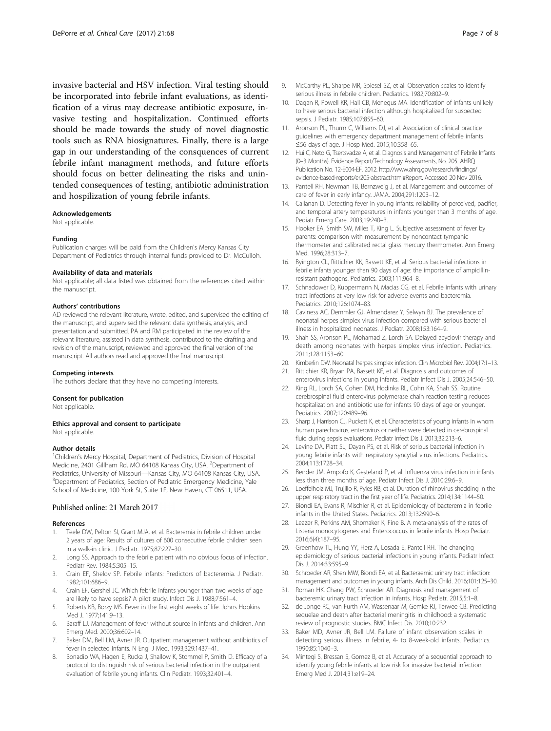<span id="page-6-0"></span>invasive bacterial and HSV infection. Viral testing should be incorporated into febrile infant evaluations, as identification of a virus may decrease antibiotic exposure, invasive testing and hospitalization. Continued efforts should be made towards the study of novel diagnostic tools such as RNA biosignatures. Finally, there is a large gap in our understanding of the consquences of current febrile infant managment methods, and future efforts should focus on better delineating the risks and unintended consequences of testing, antibiotic administration and hospilization of young febrile infants.

#### Acknowledgements

Not applicable.

#### Funding

Publication charges will be paid from the Children's Mercy Kansas City Department of Pediatrics through internal funds provided to Dr. McCulloh.

#### Availability of data and materials

Not applicable; all data listed was obtained from the references cited within the manuscript.

#### Authors' contributions

AD reviewed the relevant literature, wrote, edited, and supervised the editing of the manuscript, and supervised the relevant data synthesis, analysis, and presentation and submitted. PA and RM participated in the review of the relevant literature, assisted in data synthesis, contributed to the drafting and revision of the manuscript, reviewed and approved the final version of the manuscript. All authors read and approved the final manuscript.

#### Competing interests

The authors declare that they have no competing interests.

#### Consent for publication

Not applicable

#### Ethics approval and consent to participate Not applicable.

#### Author details

<sup>1</sup>Children's Mercy Hospital, Department of Pediatrics, Division of Hospital Medicine, 2401 Gillham Rd, MO 64108 Kansas City, USA. <sup>2</sup>Department of Pediatrics, University of Missouri-Kansas City, MO 64108 Kansas City, USA. <sup>3</sup>Department of Pediatrics, Section of Pediatric Emergency Medicine, Yale School of Medicine, 100 York St, Suite 1F, New Haven, CT 06511, USA.

#### Published online: 21 March 2017

#### References

- 1. Teele DW, Pelton SI, Grant MJA, et al. Bacteremia in febrile children under 2 years of age: Results of cultures of 600 consecutive febrile children seen in a walk-in clinic. J Pediatr. 1975;87:227–30.
- 2. Long SS. Approach to the febrile patient with no obvious focus of infection. Pediatr Rev. 1984;5:305–15.
- 3. Crain EF, Shelov SP. Febrile infants: Predictors of bacteremia. J Pediatr. 1982;101:686–9.
- 4. Crain EF, Gershel JC. Which febrile infants younger than two weeks of age are likely to have sepsis? A pilot study. Infect Dis J. 1988;7:561–4.
- 5. Roberts KB, Borzy MS. Fever in the first eight weeks of life. Johns Hopkins Med J. 1977;141:9–13.
- 6. Baraff LJ. Management of fever without source in infants and children. Ann Emerg Med. 2000;36:602–14.
- 7. Baker DM, Bell LM, Avner JR. Outpatient management without antibiotics of fever in selected infants. N Engl J Med. 1993;329:1437–41.
- 8. Bonadio WA, Hagen E, Rucka J, Shallow K, Stommel P, Smith D. Efficacy of a protocol to distinguish risk of serious bacterial infection in the outpatient evaluation of febrile young infants. Clin Pediatr. 1993;32:401–4.
- 9. McCarthy PL, Sharpe MR, Spiesel SZ, et al. Observation scales to identify serious illness in febrile children. Pediatrics. 1982;70:802–9.
- 10. Dagan R, Powell KR, Hall CB, Menegus MA. Identification of infants unlikely to have serious bacterial infection although hospitalized for suspected sepsis. J Pediatr. 1985;107:855–60.
- 11. Aronson PL, Thurm C, Williams DJ, et al. Association of clinical practice guidelines with emergency department management of febrile infants ≤56 days of age. J Hosp Med. 2015;10:358–65.
- 12. Hui C, Neto G, Tsertsvadze A, et al. Diagnosis and Management of Febrile Infants (0–3 Months). Evidence Report/Technology Assessments, No. 205. AHRQ Publication No. 12-E004-EF. 2012. [http://www.ahrq.gov/research/findings/](http://www.ahrq.gov/research/findings/evidence-based-reports/er205-abstract.html#Report) [evidence-based-reports/er205-abstract.html#Report](http://www.ahrq.gov/research/findings/evidence-based-reports/er205-abstract.html#Report). Accessed 20 Nov 2016.
- 13. Pantell RH, Newman TB, Bernzweig J, et al. Management and outcomes of care of fever in early infancy. JAMA. 2004;291:1203–12.
- 14. Callanan D. Detecting fever in young infants: reliability of perceived, pacifier, and temporal artery temperatures in infants younger than 3 months of age. Pediatr Emerg Care. 2003;19:240–3.
- 15. Hooker EA, Smith SW, Miles T, King L. Subjective assessment of fever by parents: comparison with measurement by noncontact tympanic thermometer and calibrated rectal glass mercury thermometer. Ann Emerg Med. 1996;28:313–7.
- 16. Byington CL, Rittichier KK, Bassett KE, et al. Serious bacterial infections in febrile infants younger than 90 days of age: the importance of ampicillinresistant pathogens. Pediatrics. 2003;111:964–8.
- 17. Schnadower D, Kuppermann N, Macias CG, et al. Febrile infants with urinary tract infections at very low risk for adverse events and bacteremia. Pediatrics. 2010;126:1074–83.
- 18. Caviness AC, Demmler GJ, Almendarez Y, Selwyn BJ. The prevalence of neonatal herpes simplex virus infection compared with serious bacterial illness in hospitalized neonates. J Pediatr. 2008;153:164–9.
- 19. Shah SS, Aronson PL, Mohamad Z, Lorch SA. Delayed acyclovir therapy and death among neonates with herpes simplex virus infection. Pediatrics. 2011;128:1153–60.
- 20. Kimberlin DW. Neonatal herpes simplex infection. Clin Microbiol Rev. 2004;17:1–13. 21. Rittichier KR, Bryan PA, Bassett KE, et al. Diagnosis and outcomes of
- enterovirus infections in young infants. Pediatr Infect Dis J. 2005;24:546–50. 22. King RL, Lorch SA, Cohen DM, Hodinka RL, Cohn KA, Shah SS. Routine
- cerebrospinal fluid enterovirus polymerase chain reaction testing reduces hospitalization and antibiotic use for infants 90 days of age or younger. Pediatrics. 2007;120:489–96.
- 23. Sharp J, Harrison CJ, Puckett K, et al. Characteristics of young infants in whom human parechovirus, enterovirus or neither were detected in cerebrospinal fluid during sepsis evaluations. Pediatr Infect Dis J. 2013;32:213–6.
- 24. Levine DA, Platt SL, Dayan PS, et al. Risk of serious bacterial infection in young febrile infants with respiratory syncytial virus infections. Pediatrics. 2004;113:1728–34.
- 25. Bender JM, Ampofo K, Gesteland P, et al. Influenza virus infection in infants less than three months of age. Pediatr Infect Dis J. 2010;29:6–9.
- 26. Loeffelholz MJ, Trujillo R, Pyles RB, et al. Duration of rhinovirus shedding in the upper respiratory tract in the first year of life. Pediatrics. 2014;134:1144–50.
- 27. Biondi EA, Evans R, Mischler R, et al. Epidemiology of bacteremia in febrile infants in the United States. Pediatrics. 2013;132:990–6.
- 28. Leazer R, Perkins AM, Shomaker K, Fine B. A meta-analysis of the rates of Listeria monocytogenes and Enterococcus in febrile infants. Hosp Pediatr. 2016;6(4):187–95.
- 29. Greenhow TL, Hung YY, Herz A, Losada E, Pantell RH. The changing epidemiology of serious bacterial infections in young infants. Pediatr Infect Dis J. 2014;33:595–9.
- 30. Schroeder AR, Shen MW, Biondi EA, et al. Bacteraemic urinary tract infection: management and outcomes in young infants. Arch Dis Child. 2016;101:125–30.
- 31. Roman HK, Chang PW, Schroeder AR. Diagnosis and management of bacteremic urinary tract infection in infants. Hosp Pediatr. 2015;5:1–8.
- 32. de Jonge RC, van Furth AM, Wassenaar M, Gemke RJ, Terwee CB. Predicting sequelae and death after bacterial meningitis in childhood: a systematic review of prognostic studies. BMC Infect Dis. 2010;10:232.
- 33. Baker MD, Avner JR, Bell LM. Failure of infant observation scales in detecting serious illness in febrile, 4- to 8-week-old infants. Pediatrics. 1990;85:1040–3.
- 34. Mintegi S, Bressan S, Gomez B, et al. Accuracy of a sequential approach to identify young febrile infants at low risk for invasive bacterial infection. Emerg Med J. 2014;31:e19–24.